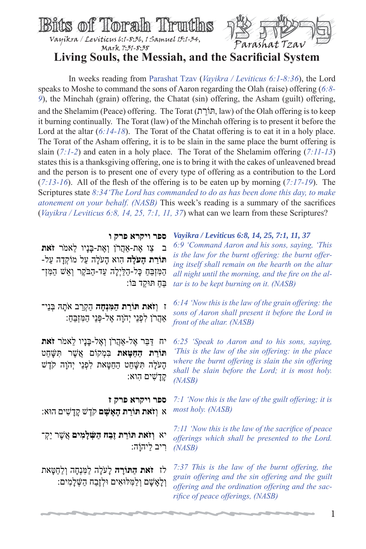

## **Living Souls, the Messiah, and the Sacrificial System**

 In weeks reading from Parashat Tzav (*Vayikra / Leviticus 6:1-8:36*), the Lord speaks to Moshe to command the sons of Aaron regarding the Olah (raise) offering (*6:8- 9*), the Minchah (grain) offering, the Chatat (sin) offering, the Asham (guilt) offering, and the Shelamim (Peace) offering. The Torat (תּוֹרתַ , law) of the Olah offering is to keep it burning continually. The Torat (law) of the Minchah offering is to present it before the Lord at the altar  $(6.14-18)$ . The Torat of the Chatat offering is to eat it in a holy place. The Torat of the Asham offering, it is to be slain in the same place the burnt offering is slain (*7:1-2*) and eaten in a holy place. The Torat of the Shelamim offering (*7:11-13*) states this is a thanksgiving offering, one is to bring it with the cakes of unleavened bread and the person is to present one of every type of offering as a contribution to the Lord (*7:13-16*). All of the flesh of the offering is to be eaten up by morning (*7:17-19*). The Scriptures state *8:34'The Lord has commanded to do as has been done this day, to make atonement on your behalf. (NASB)* This week's reading is a summary of the sacrifices (*Vayikra / Leviticus 6:8, 14, 25, 7:1, 11, 37*) what can we learn from these Scriptures?

> **ספר ויקרא פרק ו** *Vayikra / Leviticus 6:8, 14, 25, 7:1, 11, 37*

ב ַצו ֶאת- ֲאַהרֹן ְו ֶאת- ָבּנָיו ֵלאמֹר **זֹאת תּוֹרת הַעַׂלִה** הוא הַעַׂלה על מוֹקְדָה על-ַהַמִּזְבָּחַ כָּל-הַלַּיְלָה עַד-הַבֹּקֶר וְאֵשׁ הַמִּזְ־ ֵבּ ַח ַ תּוּקד בּוֹ:

ז ו**ְזֹאת ַתּוֹרת ַה ִמּנְ ָחה** ַה ְקֵרב אָֹתהּ ְבּנֵי־ ְאַהַרֹן לְפְנֵי יִהְוָה אֵל-פִּנֵי הַמִּזְבֵהָ:

יח ַדּ ֵבּר ֶאל- ֲאַהרֹן ְו ֶאל- ָבּנָיו ֵלאמֹר **זֹאת ַתּוֹרת ַה ַח ָטּאת** ִבּ ְמקוֹם ֲא ֶשׁר ִתּ ָשּׁ ֵחט ָהעָֹלה ִתּ ָשּׁ ֵחט ַה ַח ָטּאת ִל ְפנֵי יְהָֹוה קֶֹדשׁ ָקְדַשִׁים הָוא:

**ספר ויקרא פרק ז** א ו**ְזֹאת ַתּוֹרת ָה ָא ָשׁם** קֶֹדשׁ ָקָד ִשׁים הוּא:

יא **ְוזֹאת ַתּוֹרת זֶ ַבח ַה ְשּׁ ָל ִמים** ֲא ֶשׁר יַ ְק־ ִריב ַל ָ יהוֹה:

לז **זֹאת הַתּוֹרָה** לַעֹּלָה לַמִּנְחָה וְלַחֲטֵאת וְלָאָשָׁם וְלַמִּלּוּאִים וּלְזֶבַח הַשָּׁלָמִים:

*6:9 'Command Aaron and his sons, saying, 'This is the law for the burnt offering: the burnt offering itself shall remain on the hearth on the altar all night until the morning, and the fire on the altar is to be kept burning on it. (NASB)*

*6:14 'Now this is the law of the grain offering: the sons of Aaron shall present it before the Lord in front of the altar. (NASB)*

*6:25 'Speak to Aaron and to his sons, saying, 'This is the law of the sin offering: in the place where the burnt offering is slain the sin offering shall be slain before the Lord; it is most holy. (NASB)*

*7:1 'Now this is the law of the guilt offering; it is most holy. (NASB)*

*7:11 'Now this is the law of the sacrifice of peace offerings which shall be presented to the Lord. (NASB)*

*7:37 This is the law of the burnt offering, the grain offering and the sin offering and the guilt offering and the ordination offering and the sacrifice of peace offerings, (NASB)*

1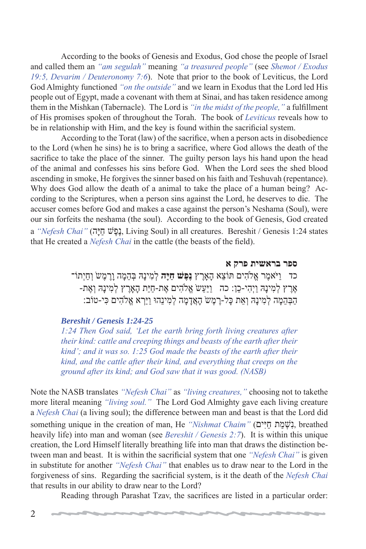According to the books of Genesis and Exodus, God chose the people of Israel and called them an *"am segulah"* meaning *"a treasured people"* (see *Shemot / Exodus 19:5, Devarim / Deuteronomy 7:6*). Note that prior to the book of Leviticus, the Lord God Almighty functioned *"on the outside"* and we learn in Exodus that the Lord led His people out of Egypt, made a covenant with them at Sinai, and has taken residence among them in the Mishkan (Tabernacle). The Lord is *"in the midst of the people,"* a fulfillment of His promises spoken of throughout the Torah. The book of *Leviticus* reveals how to be in relationship with Him, and the key is found within the sacrificial system.

 According to the Torat (law) of the sacrifice, when a person acts in disobedience to the Lord (when he sins) he is to bring a sacrifice, where God allows the death of the sacrifice to take the place of the sinner. The guilty person lays his hand upon the head of the animal and confesses his sins before God. When the Lord sees the shed blood ascending in smoke, He forgives the sinner based on his faith and Teshuvah (repentance). Why does God allow the death of a animal to take the place of a human being? According to the Scriptures, when a person sins against the Lord, he deserves to die. The accuser comes before God and makes a case against the person's Neshama (Soul), were our sin forfeits the neshama (the soul). According to the book of Genesis, God created a *"Nefesh Chai"* (הָפָּשָׁ חָיָה, Living Soul) in all creatures. Bereshit / Genesis 1:24 states that He created a *Nefesh Chai* in the cattle (the beasts of the field).

> **ספר בראשית פרק א** כד ַויֹּ ֶאמר ֱא ִֹלהים ֵ תּוֹצא ָה ֶאָרץ **נֶ ֶפשׁ ַחיָּה** ְל ִמינָהּ ְבּ ֵה ָמה ָוֶר ֶמשֹ ְו ַחיְתוֹ־ ָאֶרֶץ לְמִינַהּ וַיִּהִי-כֵן: כה ַוַיַּעֲשׂ אֱלֹהִים אֶת-חַיַּת הָאַרֶץ לְמִינַהּ וְאֶת-ָהֲבָהֶמָּה לְמִינַהּ וְאֶת כָּל-רֵמֶשׂ הָאֲדָמָה לְמִינֵהוּ וַיַּרְא אֱלֹהִים כִּי-טוֹב:

## *Bereshit / Genesis 1:24-25*

*1:24 Then God said, 'Let the earth bring forth living creatures after their kind: cattle and creeping things and beasts of the earth after their kind'; and it was so. 1:25 God made the beasts of the earth after their kind, and the cattle after their kind, and everything that creeps on the ground after its kind; and God saw that it was good. (NASB)*

Note the NASB translates *"Nefesh Chai"* as *"living creatures,"* choosing not to takethe more literal meaning *"living soul."* The Lord God Almighty gave each living creature a *Nefesh Chai* (a living soul); the difference between man and beast is that the Lord did something unique in the creation of man, He *"Nishmat Chaim"* (נשְׁמַת חַיִּים, breathed heavily life) into man and woman (see *Bereshit / Genesis 2:7*). It is within this unique creation, the Lord Himself literally breathing life into man that draws the distinction between man and beast. It is within the sacrificial system that one *"Nefesh Chai"* is given in substitute for another *"Nefesh Chai"* that enables us to draw near to the Lord in the forgiveness of sins. Regarding the sacrificial system, is it the death of the *Nefesh Chai* that results in our ability to draw near to the Lord?

Reading through Parashat Tzav, the sacrifices are listed in a particular order: